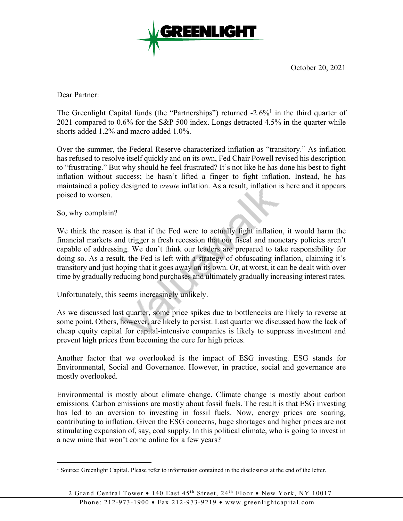

October 20, 2021

Dear Partner:

The Greenlight Capital funds (the "Partnerships") returned  $-2.6\%$ <sup>1</sup> in the third quarter of 2021 compared to 0.6% for the S&P 500 index. Longs detracted 4.5% in the quarter while shorts added 1.2% and macro added 1.0%.

Over the summer, the Federal Reserve characterized inflation as "transitory." As inflation has refused to resolve itself quickly and on its own, Fed Chair Powell revised his description to "frustrating." But why should he feel frustrated? It's not like he has done his best to fight inflation without success; he hasn't lifted a finger to fight inflation. Instead, he has maintained a policy designed to *create* inflation. As a result, inflation is here and it appears poised to worsen.

So, why complain?

 $\overline{a}$ 

We think the reason is that if the Fed were to actually fight inflation, it would harm the financial markets and trigger a fresh recession that our fiscal and monetary policies aren't capable of addressing. We don't think our leaders are prepared to take responsibility for doing so. As a result, the Fed is left with a strategy of obfuscating inflation, claiming it's transitory and just hoping that it goes away on its own. Or, at worst, it can be dealt with over time by gradually reducing bond purchases and ultimately gradually increasing interest rates.

Unfortunately, this seems increasingly unlikely.

As we discussed last quarter, some price spikes due to bottlenecks are likely to reverse at some point. Others, however, are likely to persist. Last quarter we discussed how the lack of cheap equity capital for capital-intensive companies is likely to suppress investment and prevent high prices from becoming the cure for high prices.

Another factor that we overlooked is the impact of ESG investing. ESG stands for Environmental, Social and Governance. However, in practice, social and governance are mostly overlooked.

Environmental is mostly about climate change. Climate change is mostly about carbon emissions. Carbon emissions are mostly about fossil fuels. The result is that ESG investing has led to an aversion to investing in fossil fuels. Now, energy prices are soaring, contributing to inflation. Given the ESG concerns, huge shortages and higher prices are not stimulating expansion of, say, coal supply. In this political climate, who is going to invest in a new mine that won't come online for a few years?

<sup>&</sup>lt;sup>1</sup> Source: Greenlight Capital. Please refer to information contained in the disclosures at the end of the letter.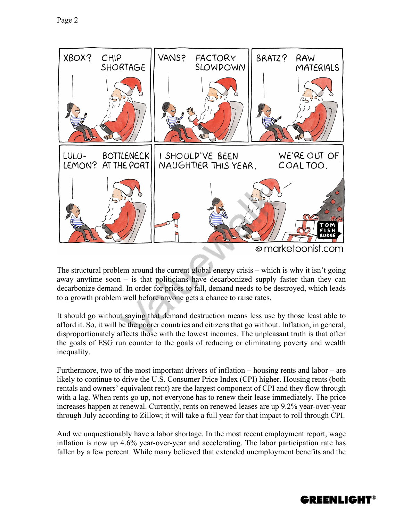

The structural problem around the current global energy crisis – which is why it isn't going away anytime soon – is that politicians have decarbonized supply faster than they can decarbonize demand. In order for prices to fall, demand needs to be destroyed, which leads to a growth problem well before anyone gets a chance to raise rates.

It should go without saying that demand destruction means less use by those least able to afford it. So, it will be the poorer countries and citizens that go without. Inflation, in general, disproportionately affects those with the lowest incomes. The unpleasant truth is that often the goals of ESG run counter to the goals of reducing or eliminating poverty and wealth inequality.

Furthermore, two of the most important drivers of inflation – housing rents and labor – are likely to continue to drive the U.S. Consumer Price Index (CPI) higher. Housing rents (both rentals and owners' equivalent rent) are the largest component of CPI and they flow through with a lag. When rents go up, not everyone has to renew their lease immediately. The price increases happen at renewal. Currently, rents on renewed leases are up 9.2% year-over-year through July according to Zillow; it will take a full year for that impact to roll through CPI.

And we unquestionably have a labor shortage. In the most recent employment report, wage inflation is now up 4.6% year-over-year and accelerating. The labor participation rate has fallen by a few percent. While many believed that extended unemployment benefits and the

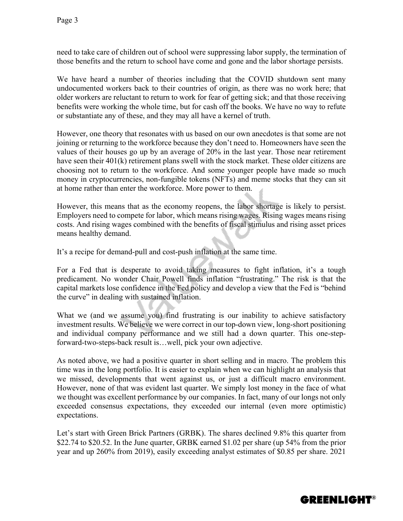need to take care of children out of school were suppressing labor supply, the termination of those benefits and the return to school have come and gone and the labor shortage persists.

We have heard a number of theories including that the COVID shutdown sent many undocumented workers back to their countries of origin, as there was no work here; that older workers are reluctant to return to work for fear of getting sick; and that those receiving benefits were working the whole time, but for cash off the books. We have no way to refute or substantiate any of these, and they may all have a kernel of truth.

However, one theory that resonates with us based on our own anecdotes is that some are not joining or returning to the workforce because they don't need to. Homeowners have seen the values of their houses go up by an average of 20% in the last year. Those near retirement have seen their 401(k) retirement plans swell with the stock market. These older citizens are choosing not to return to the workforce. And some younger people have made so much money in cryptocurrencies, non-fungible tokens (NFTs) and meme stocks that they can sit at home rather than enter the workforce. More power to them.

However, this means that as the economy reopens, the labor shortage is likely to persist. Employers need to compete for labor, which means rising wages. Rising wages means rising costs. And rising wages combined with the benefits of fiscal stimulus and rising asset prices means healthy demand.

It's a recipe for demand-pull and cost-push inflation at the same time.

For a Fed that is desperate to avoid taking measures to fight inflation, it's a tough predicament. No wonder Chair Powell finds inflation "frustrating." The risk is that the capital markets lose confidence in the Fed policy and develop a view that the Fed is "behind the curve" in dealing with sustained inflation.

What we (and we assume you) find frustrating is our inability to achieve satisfactory investment results. We believe we were correct in our top-down view, long-short positioning and individual company performance and we still had a down quarter. This one-stepforward-two-steps-back result is…well, pick your own adjective.

As noted above, we had a positive quarter in short selling and in macro. The problem this time was in the long portfolio. It is easier to explain when we can highlight an analysis that we missed, developments that went against us, or just a difficult macro environment. However, none of that was evident last quarter. We simply lost money in the face of what we thought was excellent performance by our companies. In fact, many of our longs not only exceeded consensus expectations, they exceeded our internal (even more optimistic) expectations.

Let's start with Green Brick Partners (GRBK). The shares declined 9.8% this quarter from \$22.74 to \$20.52. In the June quarter, GRBK earned \$1.02 per share (up 54% from the prior year and up 260% from 2019), easily exceeding analyst estimates of \$0.85 per share. 2021

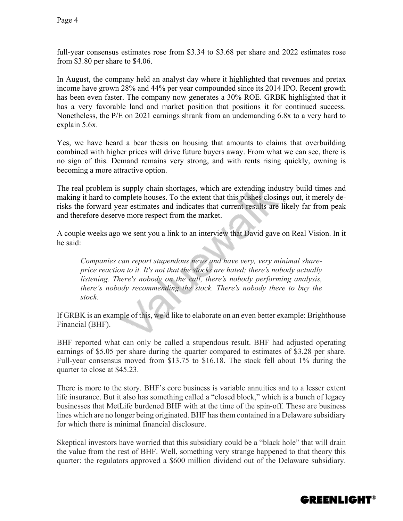full-year consensus estimates rose from \$3.34 to \$3.68 per share and 2022 estimates rose from \$3.80 per share to \$4.06.

In August, the company held an analyst day where it highlighted that revenues and pretax income have grown 28% and 44% per year compounded since its 2014 IPO. Recent growth has been even faster. The company now generates a 30% ROE. GRBK highlighted that it has a very favorable land and market position that positions it for continued success. Nonetheless, the P/E on 2021 earnings shrank from an undemanding 6.8x to a very hard to explain 5.6x.

Yes, we have heard a bear thesis on housing that amounts to claims that overbuilding combined with higher prices will drive future buyers away. From what we can see, there is no sign of this. Demand remains very strong, and with rents rising quickly, owning is becoming a more attractive option.

The real problem is supply chain shortages, which are extending industry build times and making it hard to complete houses. To the extent that this pushes closings out, it merely derisks the forward year estimates and indicates that current results are likely far from peak and therefore deserve more respect from the market.

A couple weeks ago we sent you a link to an interview that David gave on Real Vision. In it he said:

*Companies can report stupendous news and have very, very minimal shareprice reaction to it. It's not that the stocks are hated; there's nobody actually listening. There's nobody on the call, there's nobody performing analysis, there's nobody recommending the stock. There's nobody there to buy the stock.* 

If GRBK is an example of this, we'd like to elaborate on an even better example: Brighthouse Financial (BHF).

BHF reported what can only be called a stupendous result. BHF had adjusted operating earnings of \$5.05 per share during the quarter compared to estimates of \$3.28 per share. Full-year consensus moved from \$13.75 to \$16.18. The stock fell about 1% during the quarter to close at \$45.23.

There is more to the story. BHF's core business is variable annuities and to a lesser extent life insurance. But it also has something called a "closed block," which is a bunch of legacy businesses that MetLife burdened BHF with at the time of the spin-off. These are business lines which are no longer being originated. BHF has them contained in a Delaware subsidiary for which there is minimal financial disclosure.

Skeptical investors have worried that this subsidiary could be a "black hole" that will drain the value from the rest of BHF. Well, something very strange happened to that theory this quarter: the regulators approved a \$600 million dividend out of the Delaware subsidiary.

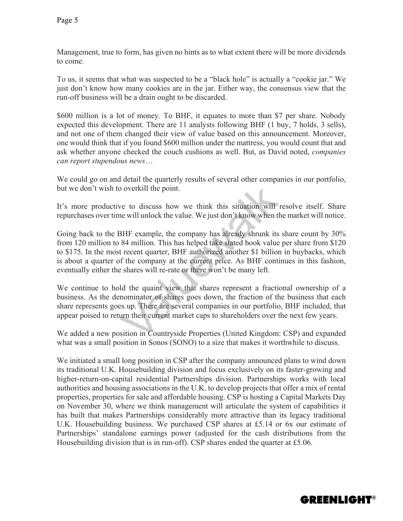Management, true to form, has given no hints as to what extent there will be more dividends to come.

To us, it seems that what was suspected to be a "black hole" is actually a "cookie jar." We just don't know how many cookies are in the jar. Either way, the consensus view that the run-off business will be a drain ought to be discarded.

\$600 million is a lot of money. To BHF, it equates to more than \$7 per share. Nobody expected this development. There are 11 analysts following BHF (1 buy, 7 holds, 3 sells), and not one of them changed their view of value based on this announcement. Moreover, one would think that if you found \$600 million under the mattress, you would count that and ask whether anyone checked the couch cushions as well. But, as David noted, *companies can report stupendous news*…

We could go on and detail the quarterly results of several other companies in our portfolio, but we don't wish to overkill the point.

It's more productive to discuss how we think this situation will resolve itself. Share repurchases over time will unlock the value. We just don't know when the market will notice.

Going back to the BHF example, the company has already shrunk its share count by 30% from 120 million to 84 million. This has helped take stated book value per share from \$120 to \$175. In the most recent quarter, BHF authorized another \$1 billion in buybacks, which is about a quarter of the company at the current price. As BHF continues in this fashion, eventually either the shares will re-rate or there won't be many left.

We continue to hold the quaint view that shares represent a fractional ownership of a business. As the denominator of shares goes down, the fraction of the business that each share represents goes up. There are several companies in our portfolio, BHF included, that appear poised to return their current market caps to shareholders over the next few years.

We added a new position in Countryside Properties (United Kingdom: CSP) and expanded what was a small position in Sonos (SONO) to a size that makes it worthwhile to discuss.

We initiated a small long position in CSP after the company announced plans to wind down its traditional U.K. Housebuilding division and focus exclusively on its faster-growing and higher-return-on-capital residential Partnerships division. Partnerships works with local authorities and housing associations in the U.K. to develop projects that offer a mix of rental properties, properties for sale and affordable housing. CSP is hosting a Capital Markets Day on November 30, where we think management will articulate the system of capabilities it has built that makes Partnerships considerably more attractive than its legacy traditional U.K. Housebuilding business. We purchased CSP shares at £5.14 or 6x our estimate of Partnerships' standalone earnings power (adjusted for the cash distributions from the Housebuilding division that is in run-off). CSP shares ended the quarter at £5.06.

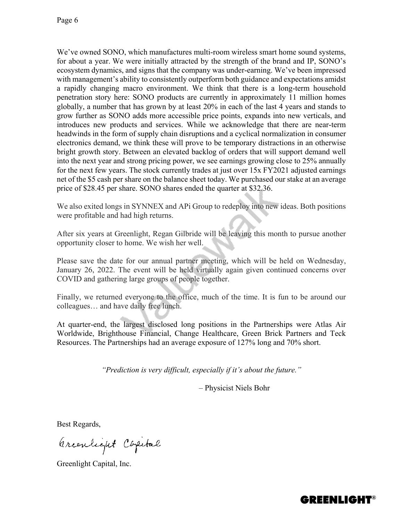We've owned SONO, which manufactures multi-room wireless smart home sound systems, for about a year. We were initially attracted by the strength of the brand and IP, SONO's ecosystem dynamics, and signs that the company was under-earning. We've been impressed with management's ability to consistently outperform both guidance and expectations amidst a rapidly changing macro environment. We think that there is a long-term household penetration story here: SONO products are currently in approximately 11 million homes globally, a number that has grown by at least 20% in each of the last 4 years and stands to grow further as SONO adds more accessible price points, expands into new verticals, and introduces new products and services. While we acknowledge that there are near-term headwinds in the form of supply chain disruptions and a cyclical normalization in consumer electronics demand, we think these will prove to be temporary distractions in an otherwise bright growth story. Between an elevated backlog of orders that will support demand well into the next year and strong pricing power, we see earnings growing close to 25% annually for the next few years. The stock currently trades at just over 15x FY2021 adjusted earnings net of the \$5 cash per share on the balance sheet today. We purchased our stake at an average price of \$28.45 per share. SONO shares ended the quarter at \$32.36.

We also exited longs in SYNNEX and APi Group to redeploy into new ideas. Both positions were profitable and had high returns.

After six years at Greenlight, Regan Gilbride will be leaving this month to pursue another opportunity closer to home. We wish her well.

Please save the date for our annual partner meeting, which will be held on Wednesday, January 26, 2022. The event will be held virtually again given continued concerns over COVID and gathering large groups of people together.

Finally, we returned everyone to the office, much of the time. It is fun to be around our colleagues… and have daily free lunch.

At quarter-end, the largest disclosed long positions in the Partnerships were Atlas Air Worldwide, Brighthouse Financial, Change Healthcare, Green Brick Partners and Teck Resources. The Partnerships had an average exposure of 127% long and 70% short.

*"Prediction is very difficult, especially if it's about the future."*

– Physicist Niels Bohr

Best Regards,

Arcentique Capital

Greenlight Capital, Inc.